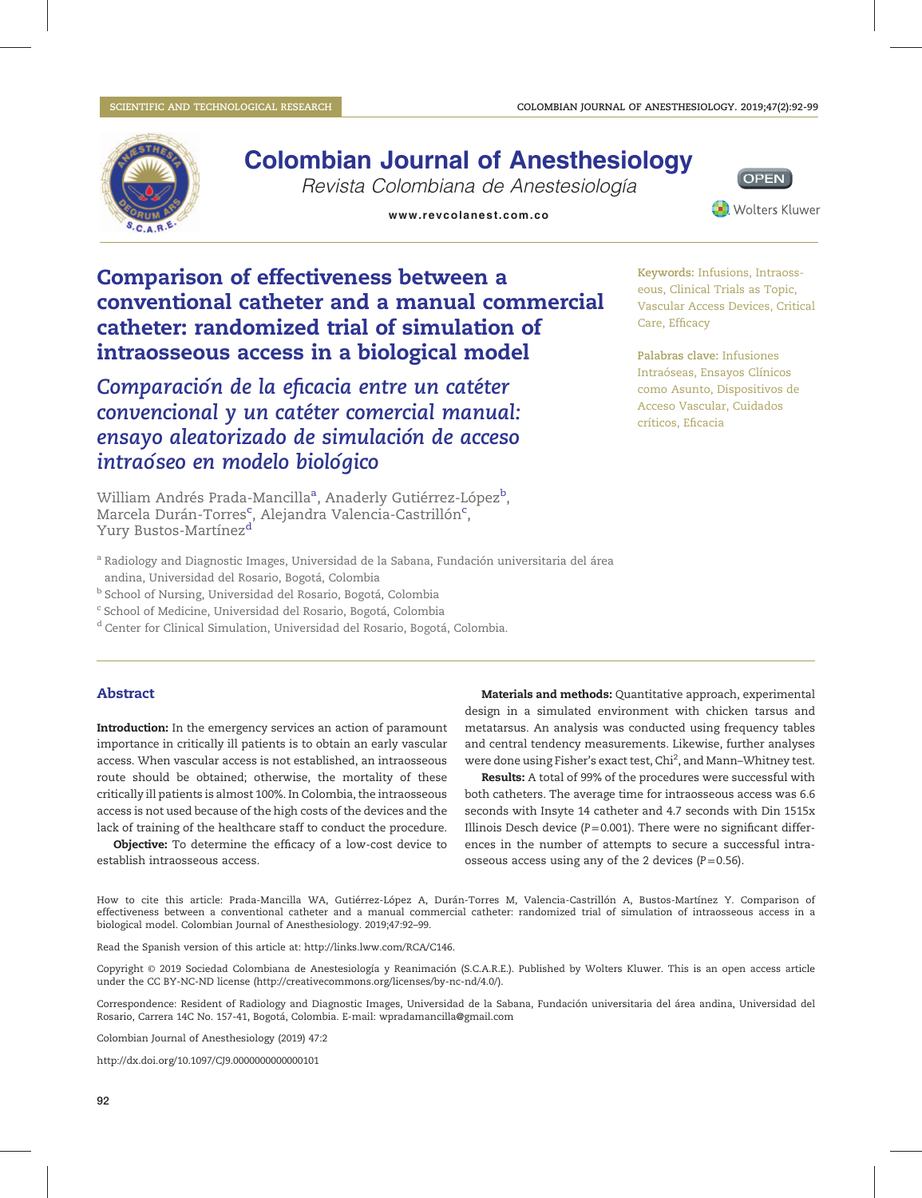Care, Efficacy

críticos, Eficacia



Revista Colombiana de Anestesiología



Keywords: Infusions, Intraosseous, Clinical Trials as Topic, Vascular Access Devices, Critical

Palabras clave: Infusiones Intraóseas, Ensayos Clínicos como Asunto, Dispositivos de Acceso Vascular, Cuidados

# Comparison of effectiveness between a conventional catheter and a manual commercial catheter: randomized trial of simulation of intraosseous access in a biological model

Comparación de la eficacia entre un catéter convencional y un catéter comercial manual: ensayo aleatorizado de simulación de acceso intraóseo en modelo biológico

William Andrés Prada-Mancilla<sup>a</sup>, Anaderly Gutiérrez-López<sup>b</sup>, Marcela Durán-Torres<sup>c</sup>, Alejandra Valencia-Castrillón<sup>c</sup>, Yury Bustos-Martínez<sup>d</sup>

<sup>a</sup> Radiology and Diagnostic Images, Universidad de la Sabana, Fundación universitaria del área

andina, Universidad del Rosario, Bogotá, Colombia

<sup>b</sup> School of Nursing, Universidad del Rosario, Bogotá, Colombia

<sup>c</sup> School of Medicine, Universidad del Rosario, Bogotá, Colombia

<sup>d</sup> Center for Clinical Simulation, Universidad del Rosario, Bogotá, Colombia.

#### Abstract

Introduction: In the emergency services an action of paramount importance in critically ill patients is to obtain an early vascular access. When vascular access is not established, an intraosseous route should be obtained; otherwise, the mortality of these critically ill patients is almost 100%. In Colombia, the intraosseous access is not used because of the high costs of the devices and the lack of training of the healthcare staff to conduct the procedure.

Objective: To determine the efficacy of a low-cost device to establish intraosseous access.

Materials and methods: Quantitative approach, experimental design in a simulated environment with chicken tarsus and metatarsus. An analysis was conducted using frequency tables and central tendency measurements. Likewise, further analyses were done using Fisher's exact test, Chi<sup>2</sup>, and Mann–Whitney test.

Results: A total of 99% of the procedures were successful with both catheters. The average time for intraosseous access was 6.6 seconds with Insyte 14 catheter and 4.7 seconds with Din 1515x Illinois Desch device ( $P = 0.001$ ). There were no significant differences in the number of attempts to secure a successful intraosseous access using any of the 2 devices ( $P=0.56$ ).

How to cite this article: Prada-Mancilla WA, Gutiérrez-López A, Durán-Torres M, Valencia-Castrillón A, Bustos-Martínez Y. Comparison of effectiveness between a conventional catheter and a manual commercial catheter: randomized trial of simulation of intraosseous access in a biological model. Colombian Journal of Anesthesiology. 2019;47:92–99.

Read the Spanish version of this article at: [http://links.lww.com/RCA/C146.](http://links.lww.com/RCA/C146)

Copyright © 2019 Sociedad Colombiana de Anestesiología y Reanimación (S.C.A.R.E.). Published by Wolters Kluwer. This is an open access article under the CC BY-NC-ND license [\(http://creativecommons.org/licenses/by-nc-nd/4.0/\)](http://creativecommons.org/licenses/by-nc-nd/4.0/).

Correspondence: Resident of Radiology and Diagnostic Images, Universidad de la Sabana, Fundación universitaria del área andina, Universidad del Rosario, Carrera 14C No. 157-41, Bogotá, Colombia. E-mail: [wpradamancilla@gmail.com](mailto:wpradamancilla@gmail.com)

Colombian Journal of Anesthesiology (2019) 47:2

<http://dx.doi.org/10.1097/CJ9.0000000000000101>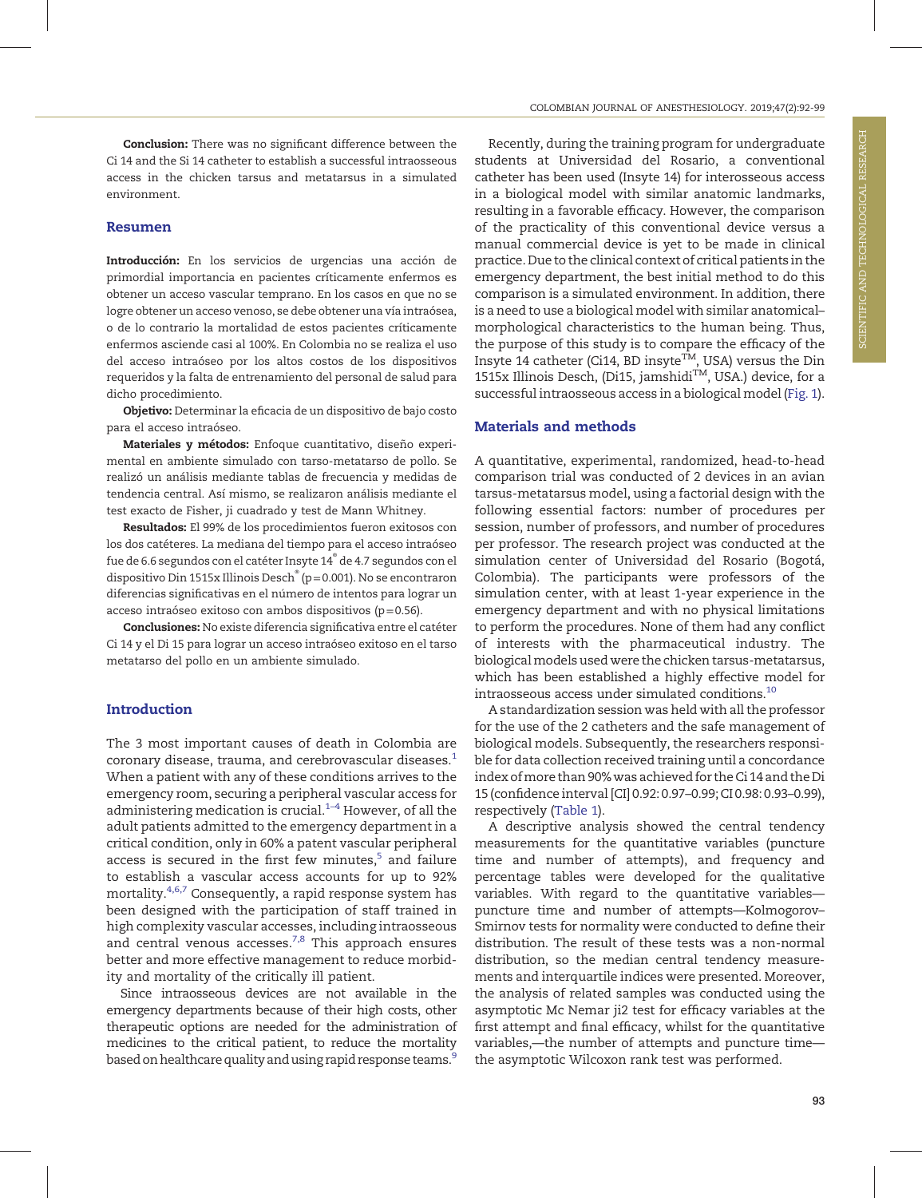Conclusion: There was no significant difference between the Ci 14 and the Si 14 catheter to establish a successful intraosseous access in the chicken tarsus and metatarsus in a simulated environment.

#### Resumen

Introducción: En los servicios de urgencias una acción de primordial importancia en pacientes críticamente enfermos es obtener un acceso vascular temprano. En los casos en que no se logre obtener un acceso venoso, se debe obtener una vía intraósea, o de lo contrario la mortalidad de estos pacientes críticamente enfermos asciende casi al 100%. En Colombia no se realiza el uso del acceso intraóseo por los altos costos de los dispositivos requeridos y la falta de entrenamiento del personal de salud para dicho procedimiento.

Objetivo: Determinar la eficacia de un dispositivo de bajo costo para el acceso intraóseo.

Materiales y métodos: Enfoque cuantitativo, diseño experimental en ambiente simulado con tarso-metatarso de pollo. Se realizó un análisis mediante tablas de frecuencia y medidas de tendencia central. Así mismo, se realizaron análisis mediante el test exacto de Fisher, ji cuadrado y test de Mann Whitney.

Resultados: El 99% de los procedimientos fueron exitosos con los dos catéteres. La mediana del tiempo para el acceso intraóseo fue de 6.6 segundos con el catéter Insyte 14® de 4.7 segundos con el dispositivo Din 1515x Illinois Desch® (p=0.001). No se encontraron diferencias significativas en el número de intentos para lograr un acceso intraóseo exitoso con ambos dispositivos (p=0.56).

Conclusiones: No existe diferencia significativa entre el catéter Ci 14 y el Di 15 para lograr un acceso intraóseo exitoso en el tarso metatarso del pollo en un ambiente simulado.

# Introduction

The 3 most important causes of death in Colombia are coronary disease, trauma, and cerebrovascular diseases.<sup>1</sup> When a patient with any of these conditions arrives to the emergency room, securing a peripheral vascular access for administering medication is crucial. $1-4$  However, of all the adult patients admitted to the emergency department in a critical condition, only in 60% a patent vascular peripheral access is secured in the first few minutes, $5$  and failure to establish a vascular access accounts for up to 92% mortality.4,6,7 Consequently, a rapid response system has been designed with the participation of staff trained in high complexity vascular accesses, including intraosseous and central venous accesses. $^{7,8}$  This approach ensures better and more effective management to reduce morbidity and mortality of the critically ill patient.

Since intraosseous devices are not available in the emergency departments because of their high costs, other therapeutic options are needed for the administration of medicines to the critical patient, to reduce the mortality based on healthcare quality and using rapid response teams.<sup>9</sup>

Recently, during the training program for undergraduate students at Universidad del Rosario, a conventional catheter has been used (Insyte 14) for interosseous access in a biological model with similar anatomic landmarks, resulting in a favorable efficacy. However, the comparison of the practicality of this conventional device versus a manual commercial device is yet to be made in clinical practice. Due to the clinical context of critical patients in the emergency department, the best initial method to do this comparison is a simulated environment. In addition, there is a need to use a biological model with similar anatomical– morphological characteristics to the human being. Thus, the purpose of this study is to compare the efficacy of the Insyte 14 catheter (Ci14, BD insyte<sup>TM</sup>, USA) versus the Din 1515x Illinois Desch, (Di15, jamshidi™, USA.) device, for a successful intraosseous access in a biological model (Fig. 1).

#### Materials and methods

A quantitative, experimental, randomized, head-to-head comparison trial was conducted of 2 devices in an avian tarsus-metatarsus model, using a factorial design with the following essential factors: number of procedures per session, number of professors, and number of procedures per professor. The research project was conducted at the simulation center of Universidad del Rosario (Bogotá, Colombia). The participants were professors of the simulation center, with at least 1-year experience in the emergency department and with no physical limitations to perform the procedures. None of them had any conflict of interests with the pharmaceutical industry. The biologicalmodels used were the chicken tarsus-metatarsus, which has been established a highly effective model for intraosseous access under simulated conditions.10

A standardization session was held with all the professor for the use of the 2 catheters and the safe management of biological models. Subsequently, the researchers responsible for data collection received training until a concordance index ofmore than 90% was achieved for the Ci 14 and the Di 15 (confidence interval [CI] 0.92: 0.97–0.99; CI 0.98: 0.93–0.99), respectively (Table 1).

A descriptive analysis showed the central tendency measurements for the quantitative variables (puncture time and number of attempts), and frequency and percentage tables were developed for the qualitative variables. With regard to the quantitative variables puncture time and number of attempts—Kolmogorov– Smirnov tests for normality were conducted to define their distribution. The result of these tests was a non-normal distribution, so the median central tendency measurements and interquartile indices were presented. Moreover, the analysis of related samples was conducted using the asymptotic Mc Nemar ji2 test for efficacy variables at the first attempt and final efficacy, whilst for the quantitative variables,—the number of attempts and puncture time the asymptotic Wilcoxon rank test was performed.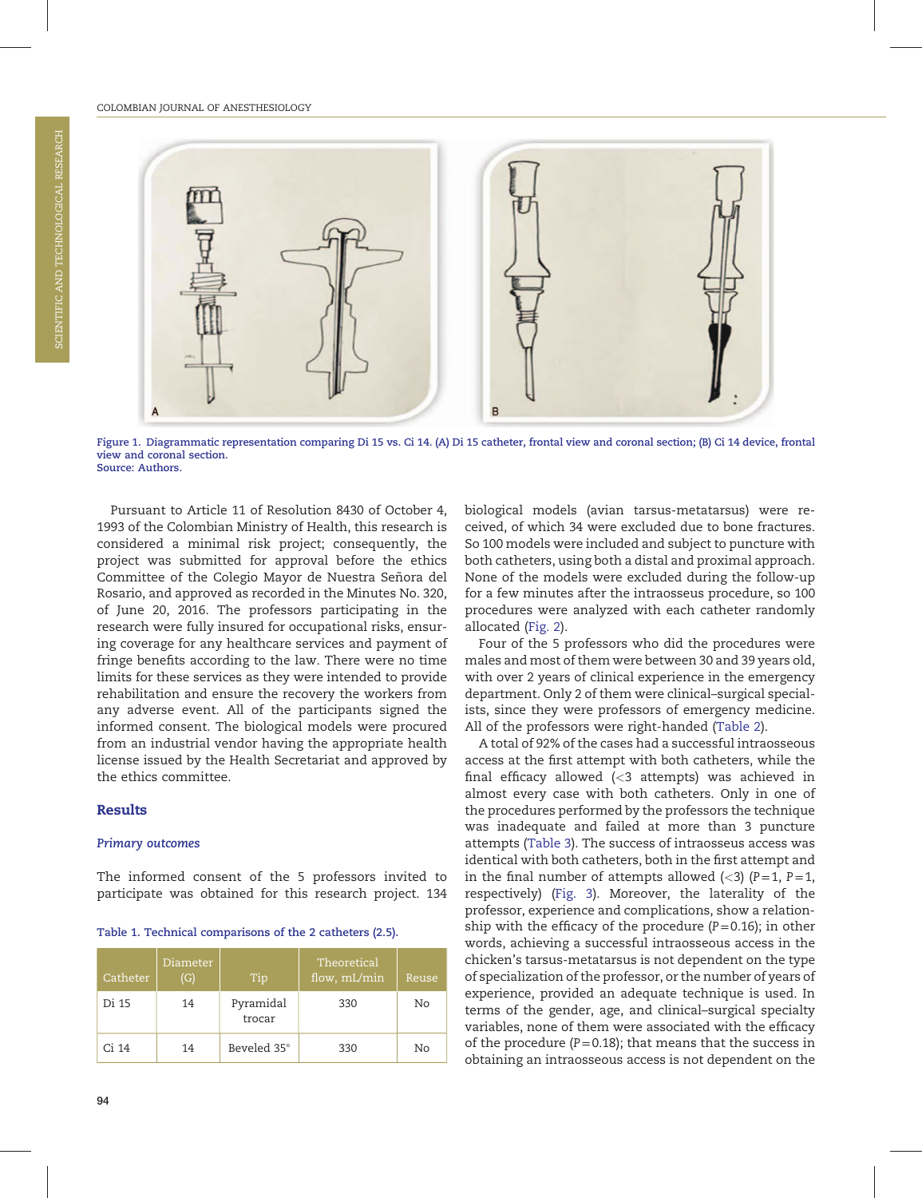

Figure 1. Diagrammatic representation comparing Di 15 vs. Ci 14. (A) Di 15 catheter, frontal view and coronal section; (B) Ci 14 device, frontal view and coronal section. Source: Authors.

Pursuant to Article 11 of Resolution 8430 of October 4, 1993 of the Colombian Ministry of Health, this research is considered a minimal risk project; consequently, the project was submitted for approval before the ethics Committee of the Colegio Mayor de Nuestra Señora del Rosario, and approved as recorded in the Minutes No. 320, of June 20, 2016. The professors participating in the research were fully insured for occupational risks, ensuring coverage for any healthcare services and payment of fringe benefits according to the law. There were no time limits for these services as they were intended to provide rehabilitation and ensure the recovery the workers from any adverse event. All of the participants signed the informed consent. The biological models were procured from an industrial vendor having the appropriate health license issued by the Health Secretariat and approved by the ethics committee.

### Results

#### Primary outcomes

The informed consent of the 5 professors invited to participate was obtained for this research project. 134

|  |  |  |  |  | Table 1. Technical comparisons of the 2 catheters (2.5). |  |  |  |  |  |  |  |  |  |
|--|--|--|--|--|----------------------------------------------------------|--|--|--|--|--|--|--|--|--|
|--|--|--|--|--|----------------------------------------------------------|--|--|--|--|--|--|--|--|--|

| Catheter | Diameter<br>(G) | Tip                 | Theoretical<br>flow, mL/min | Reuse |
|----------|-----------------|---------------------|-----------------------------|-------|
| Di 15    | 14              | Pyramidal<br>trocar | 330                         | No    |
| Ci 14    | 14              | Beveled 35°         | 330                         | No    |

biological models (avian tarsus-metatarsus) were received, of which 34 were excluded due to bone fractures. So 100 models were included and subject to puncture with both catheters, using both a distal and proximal approach. None of the models were excluded during the follow-up for a few minutes after the intraosseus procedure, so 100 procedures were analyzed with each catheter randomly allocated (Fig. 2).

Four of the 5 professors who did the procedures were males and most of them were between 30 and 39 years old, with over 2 years of clinical experience in the emergency department. Only 2 of them were clinical–surgical specialists, since they were professors of emergency medicine. All of the professors were right-handed (Table 2).

A total of 92% of the cases had a successful intraosseous access at the first attempt with both catheters, while the final efficacy allowed (<3 attempts) was achieved in almost every case with both catheters. Only in one of the procedures performed by the professors the technique was inadequate and failed at more than 3 puncture attempts (Table 3). The success of intraosseus access was identical with both catheters, both in the first attempt and in the final number of attempts allowed  $(\leq 3)$  (P=1, P=1, respectively) (Fig. 3). Moreover, the laterality of the professor, experience and complications, show a relationship with the efficacy of the procedure  $(P=0.16)$ ; in other words, achieving a successful intraosseous access in the chicken's tarsus-metatarsus is not dependent on the type of specialization of the professor, or the number of years of experience, provided an adequate technique is used. In terms of the gender, age, and clinical–surgical specialty variables, none of them were associated with the efficacy of the procedure ( $P=0.18$ ); that means that the success in obtaining an intraosseous access is not dependent on the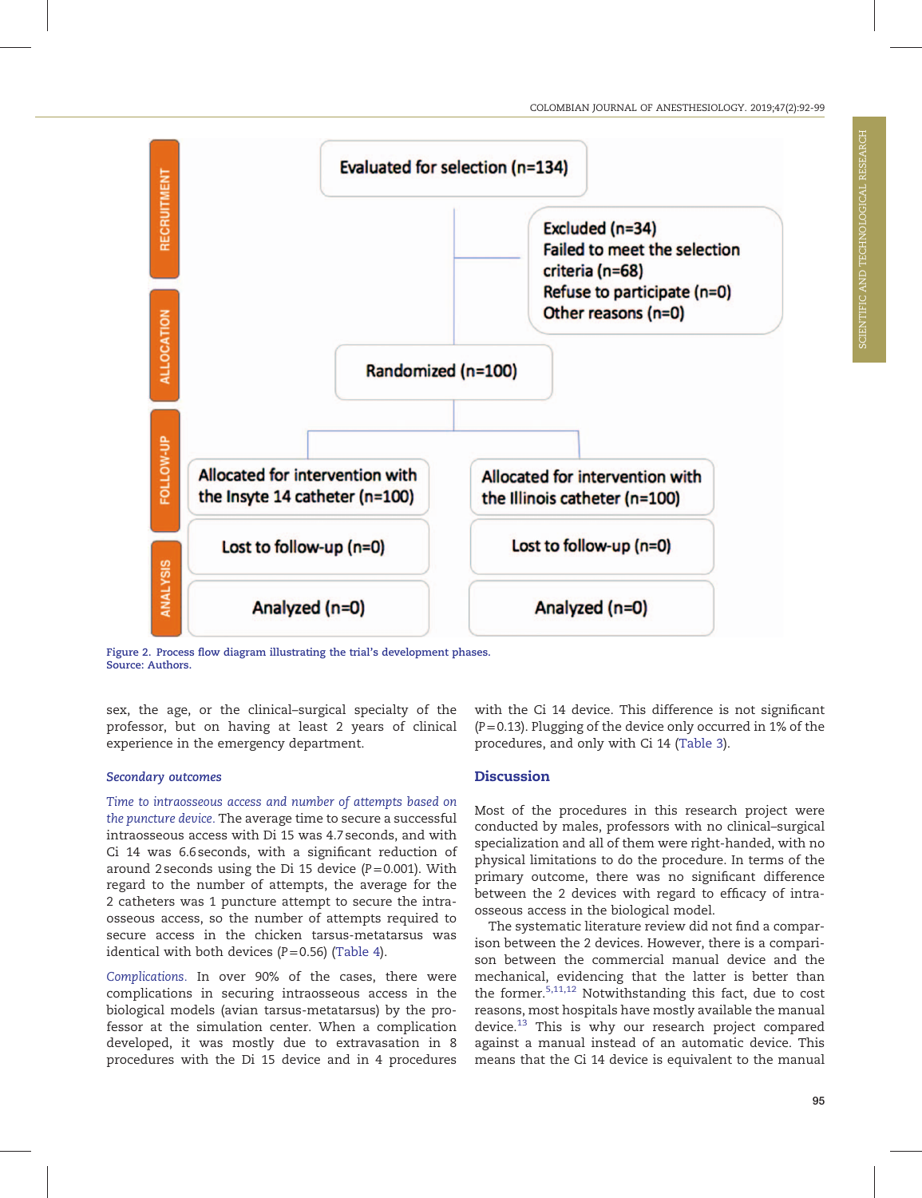

Figure 2. Process flow diagram illustrating the trial's development phases. Source: Authors.

sex, the age, or the clinical–surgical specialty of the professor, but on having at least 2 years of clinical experience in the emergency department.

# Secondary outcomes

Time to intraosseous access and number of attempts based on the puncture device. The average time to secure a successful intraosseous access with Di 15 was 4.7 seconds, and with Ci 14 was 6.6 seconds, with a significant reduction of around 2 seconds using the Di 15 device  $(P=0.001)$ . With regard to the number of attempts, the average for the 2 catheters was 1 puncture attempt to secure the intraosseous access, so the number of attempts required to secure access in the chicken tarsus-metatarsus was identical with both devices  $(P=0.56)$  (Table 4).

Complications. In over 90% of the cases, there were complications in securing intraosseous access in the biological models (avian tarsus-metatarsus) by the professor at the simulation center. When a complication developed, it was mostly due to extravasation in 8 procedures with the Di 15 device and in 4 procedures with the Ci 14 device. This difference is not significant  $(P=0.13)$ . Plugging of the device only occurred in 1% of the procedures, and only with Ci 14 (Table 3).

# Discussion

Most of the procedures in this research project were conducted by males, professors with no clinical–surgical specialization and all of them were right-handed, with no physical limitations to do the procedure. In terms of the primary outcome, there was no significant difference between the 2 devices with regard to efficacy of intraosseous access in the biological model.

The systematic literature review did not find a comparison between the 2 devices. However, there is a comparison between the commercial manual device and the mechanical, evidencing that the latter is better than the former.5,11,12 Notwithstanding this fact, due to cost reasons, most hospitals have mostly available the manual device.<sup>13</sup> This is why our research project compared against a manual instead of an automatic device. This means that the Ci 14 device is equivalent to the manual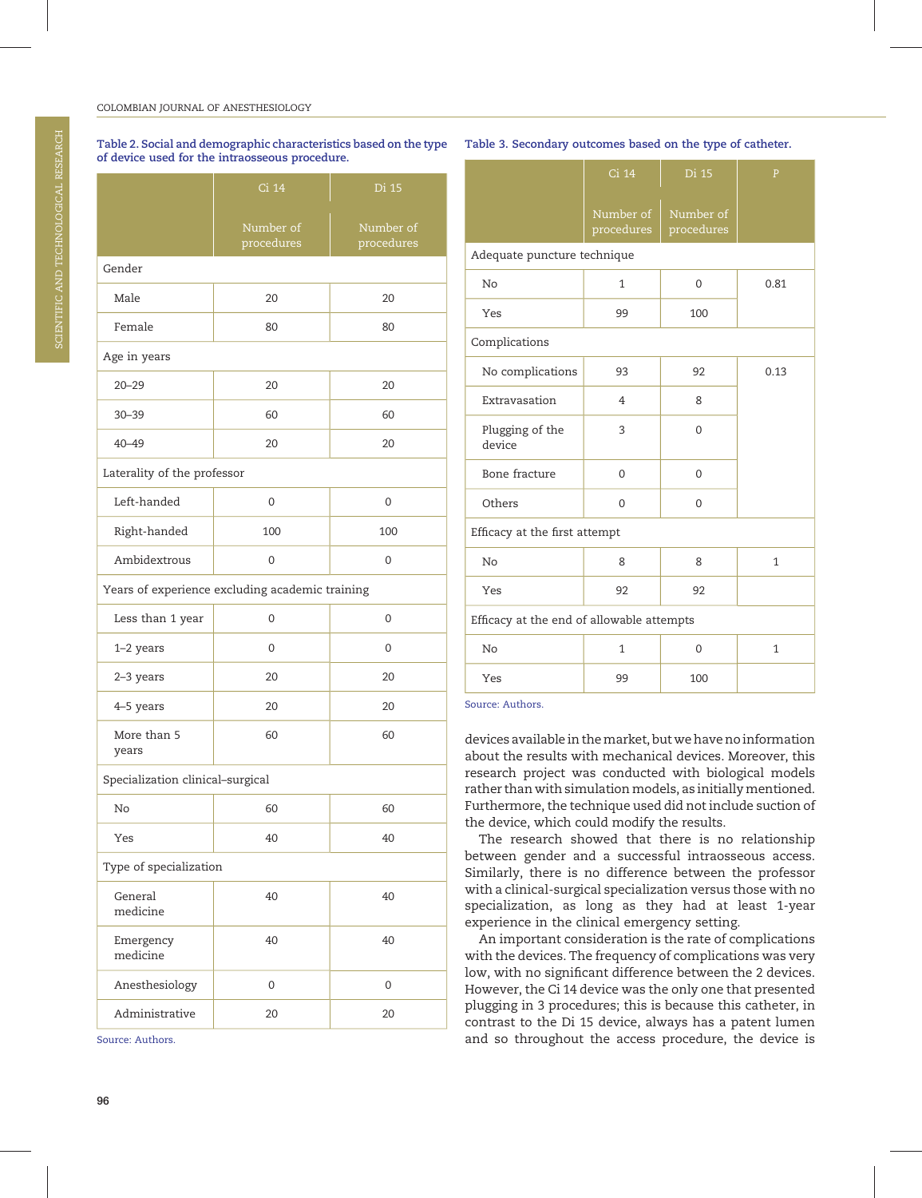#### COLOMBIAN JOURNAL OF ANESTHESIOLOGY

|                                  | Ci 14                                           | Di 15                   |  |  |  |  |  |
|----------------------------------|-------------------------------------------------|-------------------------|--|--|--|--|--|
|                                  | Number of<br>procedures                         | Number of<br>procedures |  |  |  |  |  |
| Gender                           |                                                 |                         |  |  |  |  |  |
| Male                             | 20                                              | 20                      |  |  |  |  |  |
| Female                           | 80                                              | 80                      |  |  |  |  |  |
| Age in years                     |                                                 |                         |  |  |  |  |  |
| $20 - 29$                        | 20                                              | 20                      |  |  |  |  |  |
| $30 - 39$                        | 60                                              | 60                      |  |  |  |  |  |
| $40 - 49$                        | 20                                              | 20                      |  |  |  |  |  |
| Laterality of the professor      |                                                 |                         |  |  |  |  |  |
| Left-handed                      | 0                                               | 0                       |  |  |  |  |  |
| Right-handed                     | 100                                             | 100                     |  |  |  |  |  |
| Ambidextrous                     | 0                                               | 0                       |  |  |  |  |  |
|                                  | Years of experience excluding academic training |                         |  |  |  |  |  |
| Less than 1 year                 | 0                                               | 0                       |  |  |  |  |  |
| 1-2 years                        | 0                                               | 0                       |  |  |  |  |  |
| 2-3 years                        | 20                                              | 20                      |  |  |  |  |  |
| 4-5 years                        | 20                                              | 20                      |  |  |  |  |  |
| More than 5<br>years             | 60                                              | 60                      |  |  |  |  |  |
| Specialization clinical-surgical |                                                 |                         |  |  |  |  |  |
| No                               | 60                                              | 60                      |  |  |  |  |  |
| Yes                              | 40                                              | 40                      |  |  |  |  |  |
| Type of specialization           |                                                 |                         |  |  |  |  |  |
| General<br>medicine              | 40                                              | 40                      |  |  |  |  |  |
| Emergency<br>medicine            | 40                                              | 40                      |  |  |  |  |  |
| Anesthesiology                   | 0                                               | 0                       |  |  |  |  |  |
| Administrative                   | 20                                              | 20                      |  |  |  |  |  |

Table 2. Social and demographic characteristics based on the type of device used for the intraosseous procedure.

Source: Authors.

|                                           | Ci 14<br>Di 15          |                         | $\overline{P}$ |  |  |  |  |
|-------------------------------------------|-------------------------|-------------------------|----------------|--|--|--|--|
|                                           | Number of<br>procedures | Number of<br>procedures |                |  |  |  |  |
| Adequate puncture technique               |                         |                         |                |  |  |  |  |
| No                                        | $\mathbf{1}$            | $\mathbf 0$             | 0.81           |  |  |  |  |
| Yes                                       | 99                      | 100                     |                |  |  |  |  |
| Complications                             |                         |                         |                |  |  |  |  |
| No complications                          | 93                      | 92                      | 0.13           |  |  |  |  |
| Extravasation                             | $\overline{4}$          | 8                       |                |  |  |  |  |
| Plugging of the<br>device                 | 3                       | 0                       |                |  |  |  |  |
| Bone fracture                             | 0                       | $\mathbf 0$             |                |  |  |  |  |
| Others                                    | 0                       | 0                       |                |  |  |  |  |
| Efficacy at the first attempt             |                         |                         |                |  |  |  |  |
| No                                        | 8                       | 8                       | $\mathbf{1}$   |  |  |  |  |
| Yes                                       | 92                      | 92                      |                |  |  |  |  |
| Efficacy at the end of allowable attempts |                         |                         |                |  |  |  |  |
| No                                        | $\mathbf{1}$            | $\mathbf 0$             | $\mathbf{1}$   |  |  |  |  |
| Yes                                       | 99                      | 100                     |                |  |  |  |  |

Table 3. Secondary outcomes based on the type of catheter.

Source: Authors.

devices available in themarket, but we have no information about the results with mechanical devices. Moreover, this research project was conducted with biological models rather than with simulation models, as initially mentioned. Furthermore, the technique used did not include suction of the device, which could modify the results.

The research showed that there is no relationship between gender and a successful intraosseous access. Similarly, there is no difference between the professor with a clinical-surgical specialization versus those with no specialization, as long as they had at least 1-year experience in the clinical emergency setting.

An important consideration is the rate of complications with the devices. The frequency of complications was very low, with no significant difference between the 2 devices. However, the Ci 14 device was the only one that presented plugging in 3 procedures; this is because this catheter, in contrast to the Di 15 device, always has a patent lumen and so throughout the access procedure, the device is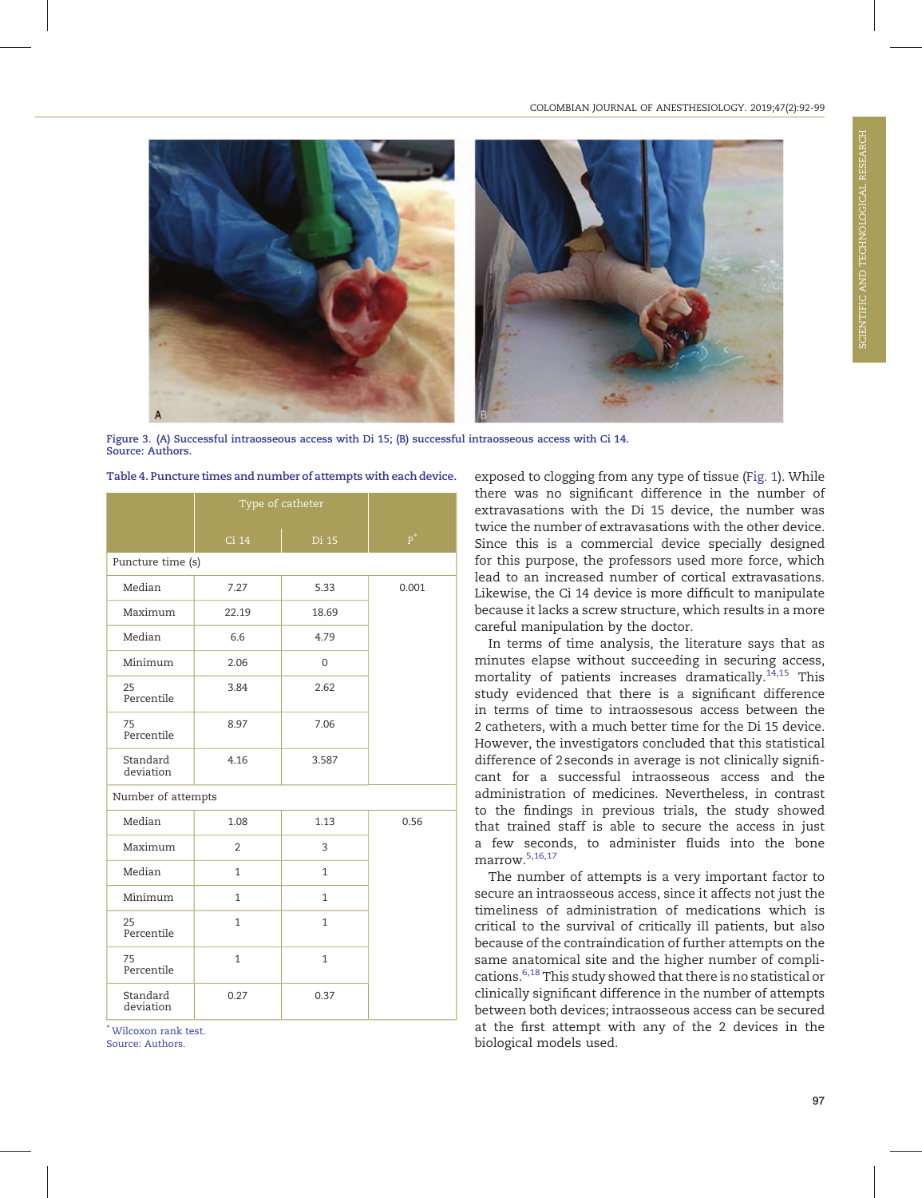

Figure 3. (A) Successful intraosseous access with Di 15; (B) successful intraosseous access with Ci 14. Source: Authors.

|                       | Type of catheter |              |       |
|-----------------------|------------------|--------------|-------|
|                       | Ci 14            | Di 15        | $P^*$ |
| Puncture time (s)     |                  |              |       |
| Median                | 7.27             | 5.33         | 0.001 |
| Maximum               | 22.19            | 18.69        |       |
| Median                | 6.6              | 4.79         |       |
| Minimum               | 2.06             | 0            |       |
| 25<br>Percentile      | 3.84             | 2.62         |       |
| 75<br>Percentile      | 8.97             | 7.06         |       |
| Standard<br>deviation | 4.16             | 3.587        |       |
| Number of attempts    |                  |              |       |
| Median                | 1.08             | 1.13         | 0.56  |
| Maximum               | $\overline{2}$   | 3            |       |
| Median                | $\mathbf{1}$     | $\mathbf{1}$ |       |
| Minimum               | 1                | 1            |       |
| 25<br>Percentile      | $\mathbf{1}$     | 1            |       |
| 75<br>Percentile      | $\mathbf{1}$     | 1            |       |
| Standard<br>deviation | 0.27             | 0.37         |       |

Table 4. Puncture times and number of attempts with each device.

∗ Wilcoxon rank test. Source: Authors.

exposed to clogging from any type of tissue (Fig. 1). While there was no significant difference in the number of extravasations with the Di 15 device, the number was twice the number of extravasations with the other device. Since this is a commercial device specially designed for this purpose, the professors used more force, which lead to an increased number of cortical extravasations. Likewise, the Ci 14 device is more difficult to manipulate because it lacks a screw structure, which results in a more careful manipulation by the doctor.

In terms of time analysis, the literature says that as minutes elapse without succeeding in securing access, mortality of patients increases dramatically.<sup>14,15</sup> This study evidenced that there is a significant difference in terms of time to intraossesous access between the 2 catheters, with a much better time for the Di 15 device. However, the investigators concluded that this statistical difference of 2 seconds in average is not clinically significant for a successful intraosseous access and the administration of medicines. Nevertheless, in contrast to the findings in previous trials, the study showed that trained staff is able to secure the access in just a few seconds, to administer fluids into the bone marrow.5,16,17

The number of attempts is a very important factor to secure an intraosseous access, since it affects not just the timeliness of administration of medications which is critical to the survival of critically ill patients, but also because of the contraindication of further attempts on the same anatomical site and the higher number of complications.6,18 This study showed that there is no statistical or clinically significant difference in the number of attempts between both devices; intraosseous access can be secured at the first attempt with any of the 2 devices in the biological models used.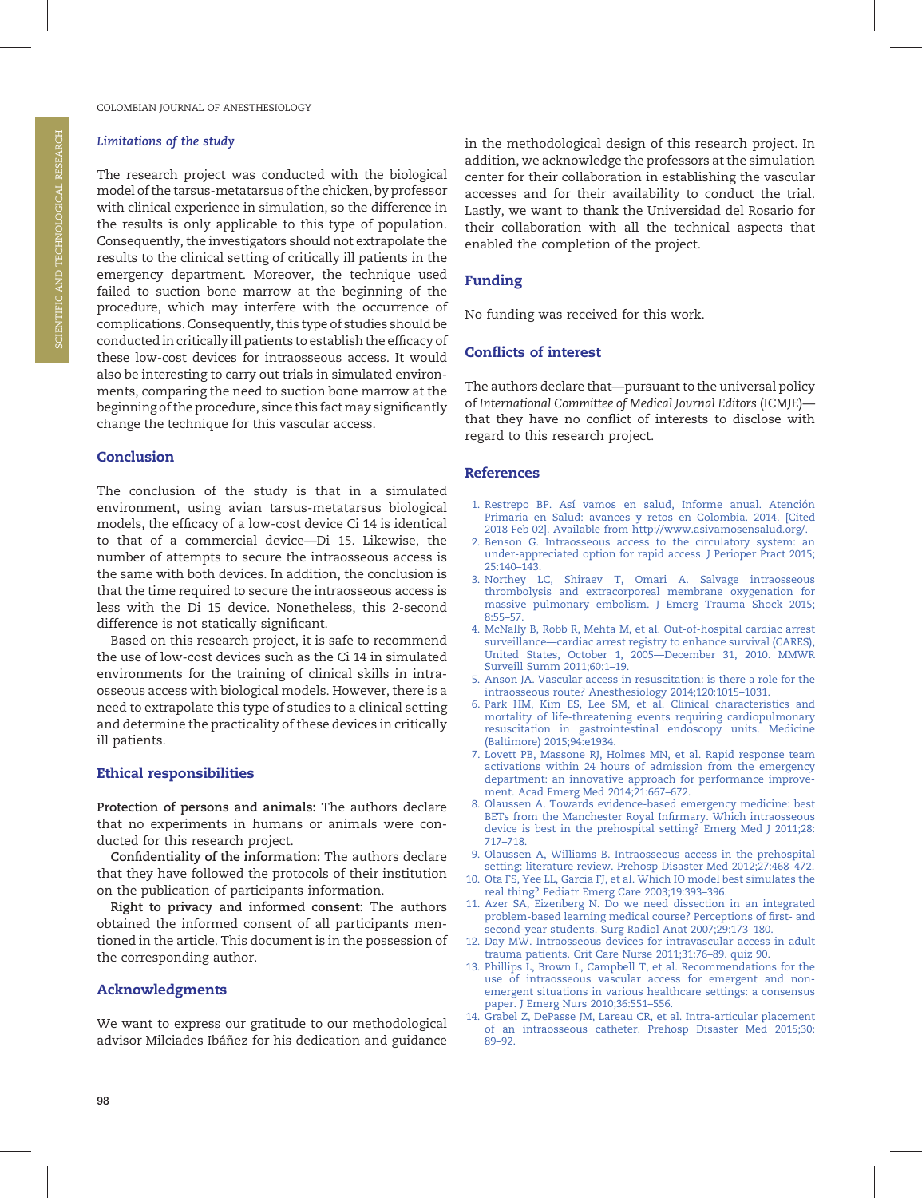#### Limitations of the study

The research project was conducted with the biological model of the tarsus-metatarsus of the chicken, by professor with clinical experience in simulation, so the difference in the results is only applicable to this type of population. Consequently, the investigators should not extrapolate the results to the clinical setting of critically ill patients in the emergency department. Moreover, the technique used failed to suction bone marrow at the beginning of the procedure, which may interfere with the occurrence of complications. Consequently, this type of studies should be conducted in critically ill patients to establish the efficacy of these low-cost devices for intraosseous access. It would also be interesting to carry out trials in simulated environments, comparing the need to suction bone marrow at the beginning of the procedure, since this fact may significantly change the technique for this vascular access.

#### Conclusion

The conclusion of the study is that in a simulated environment, using avian tarsus-metatarsus biological models, the efficacy of a low-cost device Ci 14 is identical to that of a commercial device—Di 15. Likewise, the number of attempts to secure the intraosseous access is the same with both devices. In addition, the conclusion is that the time required to secure the intraosseous access is less with the Di 15 device. Nonetheless, this 2-second difference is not statically significant.

Based on this research project, it is safe to recommend the use of low-cost devices such as the Ci 14 in simulated environments for the training of clinical skills in intraosseous access with biological models. However, there is a need to extrapolate this type of studies to a clinical setting and determine the practicality of these devices in critically ill patients.

### Ethical responsibilities

Protection of persons and animals: The authors declare that no experiments in humans or animals were conducted for this research project.

Confidentiality of the information: The authors declare that they have followed the protocols of their institution on the publication of participants information.

Right to privacy and informed consent: The authors obtained the informed consent of all participants mentioned in the article. This document is in the possession of the corresponding author.

# Acknowledgments

We want to express our gratitude to our methodological advisor Milciades Ibáñez for his dedication and guidance in the methodological design of this research project. In addition, we acknowledge the professors at the simulation center for their collaboration in establishing the vascular accesses and for their availability to conduct the trial. Lastly, we want to thank the Universidad del Rosario for their collaboration with all the technical aspects that enabled the completion of the project.

# Funding

No funding was received for this work.

# Conflicts of interest

The authors declare that—pursuant to the universal policy of International Committee of Medical Journal Editors (ICMJE) that they have no conflict of interests to disclose with regard to this research project.

#### References

- 1. Restrepo BP. Así vamos en salud, Informe anual. Atención Primaria en Salud: avances y retos en Colombia. 2014. [Cited 2018 Feb 02]. Available from<http://www.asivamosensalud.org/>.
- 2. Benson G. Intraosseous access to the circulatory system: an under-appreciated option for rapid access. J Perioper Pract 2015; 25:140–143.
- 3. Northey LC, Shiraev T, Omari A. Salvage intraosseous thrombolysis and extracorporeal membrane oxygenation for massive pulmonary embolism. J Emerg Trauma Shock 2015; 8:55–57.
- 4. McNally B, Robb R, Mehta M, et al. Out-of-hospital cardiac arrest surveillance—cardiac arrest registry to enhance survival (CARES), United States, October 1, 2005—December 31, 2010. MMWR Surveill Summ 2011;60:1–19.
- 5. Anson JA. Vascular access in resuscitation: is there a role for the intraosseous route? Anesthesiology 2014;120:1015–1031.
- 6. Park HM, Kim ES, Lee SM, et al. Clinical characteristics and mortality of life-threatening events requiring cardiopulmonary resuscitation in gastrointestinal endoscopy units. Medicine (Baltimore) 2015;94:e1934.
- 7. Lovett PB, Massone RJ, Holmes MN, et al. Rapid response team activations within 24 hours of admission from the emergency department: an innovative approach for performance improvement. Acad Emerg Med 2014;21:667–672.
- 8. Olaussen A. Towards evidence-based emergency medicine: best BETs from the Manchester Royal Infirmary. Which intraosseous device is best in the prehospital setting? Emerg Med J 2011;28: 717–718.
- 9. Olaussen A, Williams B. Intraosseous access in the prehospital setting: literature review. Prehosp Disaster Med 2012;27:468–472.
- 10. Ota FS, Yee LL, Garcia FJ, et al. Which IO model best simulates the real thing? Pediatr Emerg Care 2003;19:393–396.
- 11. Azer SA, Eizenberg N. Do we need dissection in an integrated problem-based learning medical course? Perceptions of first- and second-year students. Surg Radiol Anat 2007;29:173–180.
- 12. Day MW. Intraosseous devices for intravascular access in adult trauma patients. Crit Care Nurse 2011;31:76–89. quiz 90.
- 13. Phillips L, Brown L, Campbell T, et al. Recommendations for the use of intraosseous vascular access for emergent and nonemergent situations in various healthcare settings: a consensus paper. J Emerg Nurs 2010;36:551–556.
- 14. Grabel Z, DePasse JM, Lareau CR, et al. Intra-articular placement of an intraosseous catheter. Prehosp Disaster Med 2015;30: 89–92.